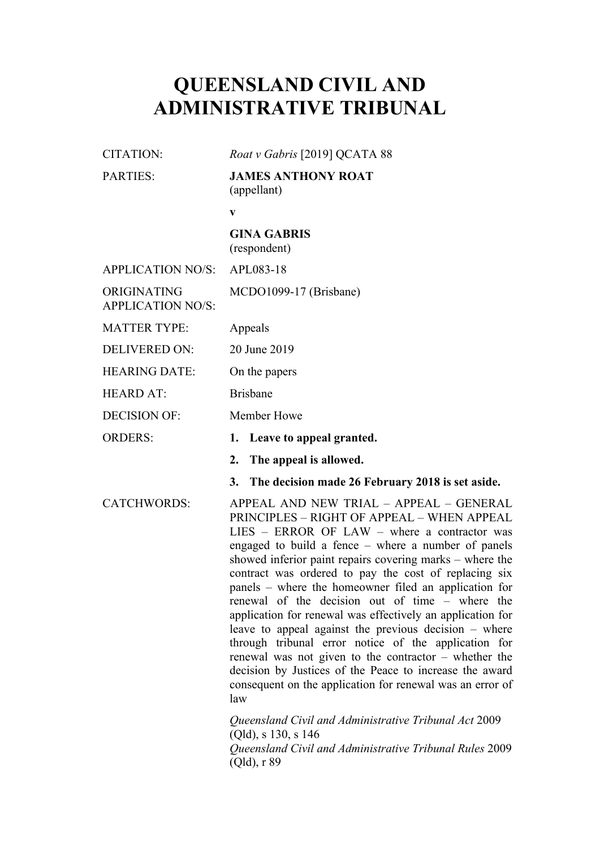## **QUEENSLAND CIVIL AND ADMINISTRATIVE TRIBUNAL**

Roat v Gabris<sup>[2019]</sup> QCATA 88

PARTIES: **JAMES ANTHONY ROAT**

(appellant)

**v**

**GINA GABRIS** (respondent)

| <b>APPLICATION NO/S:</b>                | APL083-18                                                                                                                                                                                                                                                                                                                                                                                                                                                                                                                                                                                                                                                                                                                                                                                                  |
|-----------------------------------------|------------------------------------------------------------------------------------------------------------------------------------------------------------------------------------------------------------------------------------------------------------------------------------------------------------------------------------------------------------------------------------------------------------------------------------------------------------------------------------------------------------------------------------------------------------------------------------------------------------------------------------------------------------------------------------------------------------------------------------------------------------------------------------------------------------|
| ORIGINATING<br><b>APPLICATION NO/S:</b> | MCDO1099-17 (Brisbane)                                                                                                                                                                                                                                                                                                                                                                                                                                                                                                                                                                                                                                                                                                                                                                                     |
| <b>MATTER TYPE:</b>                     | Appeals                                                                                                                                                                                                                                                                                                                                                                                                                                                                                                                                                                                                                                                                                                                                                                                                    |
| <b>DELIVERED ON:</b>                    | 20 June 2019                                                                                                                                                                                                                                                                                                                                                                                                                                                                                                                                                                                                                                                                                                                                                                                               |
| <b>HEARING DATE:</b>                    | On the papers                                                                                                                                                                                                                                                                                                                                                                                                                                                                                                                                                                                                                                                                                                                                                                                              |
| <b>HEARD AT:</b>                        | <b>Brisbane</b>                                                                                                                                                                                                                                                                                                                                                                                                                                                                                                                                                                                                                                                                                                                                                                                            |
| <b>DECISION OF:</b>                     | Member Howe                                                                                                                                                                                                                                                                                                                                                                                                                                                                                                                                                                                                                                                                                                                                                                                                |
| <b>ORDERS:</b>                          | Leave to appeal granted.<br>1.                                                                                                                                                                                                                                                                                                                                                                                                                                                                                                                                                                                                                                                                                                                                                                             |
|                                         | 2.<br>The appeal is allowed.                                                                                                                                                                                                                                                                                                                                                                                                                                                                                                                                                                                                                                                                                                                                                                               |
|                                         | 3.<br>The decision made 26 February 2018 is set aside.                                                                                                                                                                                                                                                                                                                                                                                                                                                                                                                                                                                                                                                                                                                                                     |
| <b>CATCHWORDS:</b>                      | APPEAL AND NEW TRIAL - APPEAL - GENERAL<br>PRINCIPLES - RIGHT OF APPEAL - WHEN APPEAL<br>LIES - ERROR OF LAW - where a contractor was<br>engaged to build a fence $-$ where a number of panels<br>showed inferior paint repairs covering marks – where the<br>contract was ordered to pay the cost of replacing six<br>panels – where the homeowner filed an application for<br>renewal of the decision out of time - where the<br>application for renewal was effectively an application for<br>leave to appeal against the previous decision $-$ where<br>through tribunal error notice of the application for<br>renewal was not given to the contractor $-$ whether the<br>decision by Justices of the Peace to increase the award<br>consequent on the application for renewal was an error of<br>law |
|                                         | Queensland Civil and Administrative Tribunal Act 2009<br>(Qld), s 130, s 146<br>Queensland Civil and Administrative Tribunal Rules 2009                                                                                                                                                                                                                                                                                                                                                                                                                                                                                                                                                                                                                                                                    |

 $\overline{(Q}$ ld), r 89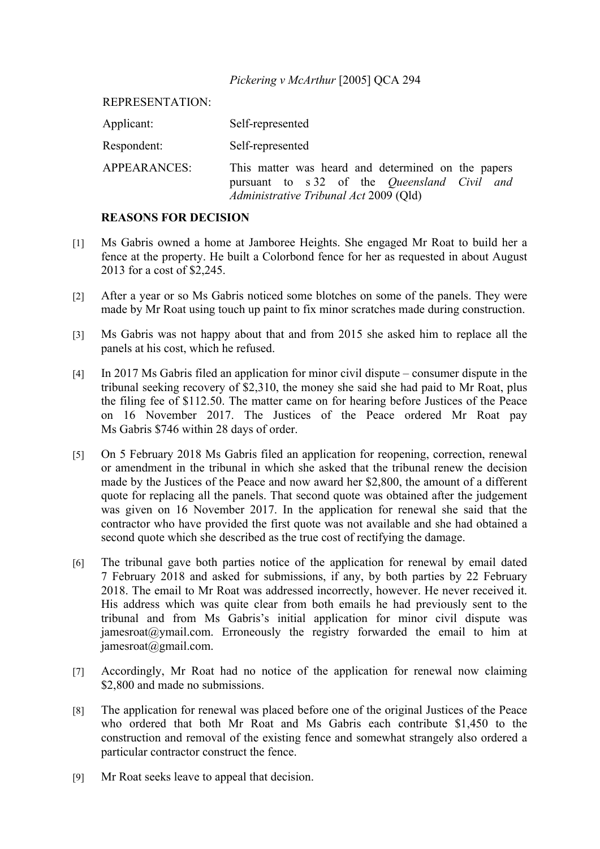*Pickering v McArthur* [2005] QCA 294

| <b>REPRESENTATION:</b> |                                                                                                                                                        |
|------------------------|--------------------------------------------------------------------------------------------------------------------------------------------------------|
| Applicant:             | Self-represented                                                                                                                                       |
| Respondent:            | Self-represented                                                                                                                                       |
| <b>APPEARANCES:</b>    | This matter was heard and determined on the papers<br>pursuant to s 32 of the <i>Queensland Civil</i><br>and<br>Administrative Tribunal Act 2009 (Qld) |

## **REASONS FOR DECISION**

- [1] Ms Gabris owned a home at Jamboree Heights. She engaged Mr Roat to build her a fence at the property. He built a Colorbond fence for her as requested in about August 2013 for a cost of \$2,245.
- [2] After a year or so Ms Gabris noticed some blotches on some of the panels. They were made by Mr Roat using touch up paint to fix minor scratches made during construction.
- [3] Ms Gabris was not happy about that and from 2015 she asked him to replace all the panels at his cost, which he refused.
- [4] In 2017 Ms Gabris filed an application for minor civil dispute consumer dispute in the tribunal seeking recovery of \$2,310, the money she said she had paid to Mr Roat, plus the filing fee of \$112.50. The matter came on for hearing before Justices of the Peace on 16 November 2017. The Justices of the Peace ordered Mr Roat pay Ms Gabris \$746 within 28 days of order.
- [5] On 5 February 2018 Ms Gabris filed an application for reopening, correction, renewal or amendment in the tribunal in which she asked that the tribunal renew the decision made by the Justices of the Peace and now award her \$2,800, the amount of a different quote for replacing all the panels. That second quote was obtained after the judgement was given on 16 November 2017. In the application for renewal she said that the contractor who have provided the first quote was not available and she had obtained a second quote which she described as the true cost of rectifying the damage.
- [6] The tribunal gave both parties notice of the application for renewal by email dated 7 February 2018 and asked for submissions, if any, by both parties by 22 February 2018. The email to Mr Roat was addressed incorrectly, however. He never received it. His address which was quite clear from both emails he had previously sent to the tribunal and from Ms Gabris's initial application for minor civil dispute was jamesroat@ymail.com. Erroneously the registry forwarded the email to him at jamesroat@gmail.com.
- [7] Accordingly, Mr Roat had no notice of the application for renewal now claiming \$2,800 and made no submissions.
- [8] The application for renewal was placed before one of the original Justices of the Peace who ordered that both Mr Roat and Ms Gabris each contribute \$1,450 to the construction and removal of the existing fence and somewhat strangely also ordered a particular contractor construct the fence.
- [9] Mr Roat seeks leave to appeal that decision.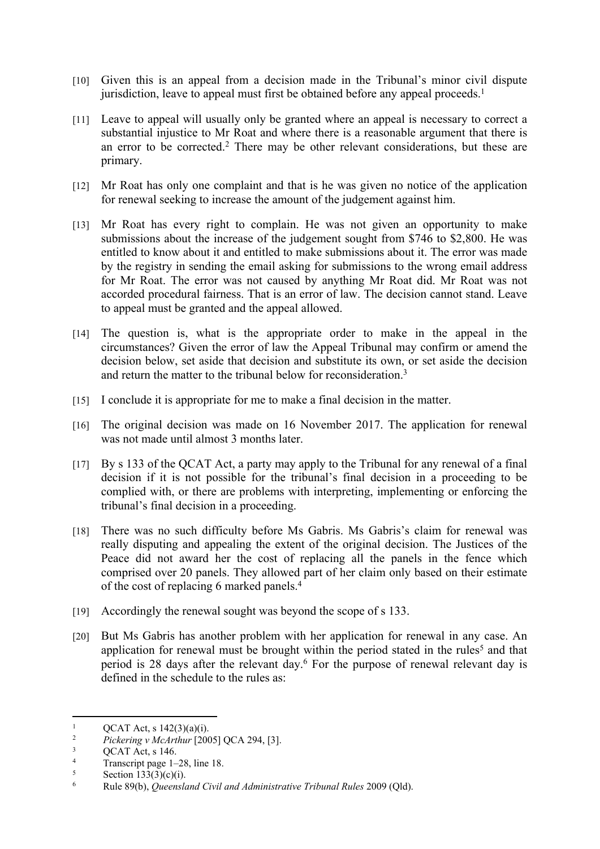- [10] Given this is an appeal from a decision made in the Tribunal's minor civil dispute jurisdiction, leave to appeal must first be obtained before any appeal proceeds.<sup>1</sup>
- [11] Leave to appeal will usually only be granted where an appeal is necessary to correct a substantial injustice to Mr Roat and where there is a reasonable argument that there is an error to be corrected.<sup>2</sup> There may be other relevant considerations, but these are primary.
- [12] Mr Roat has only one complaint and that is he was given no notice of the application for renewal seeking to increase the amount of the judgement against him.
- [13] Mr Roat has every right to complain. He was not given an opportunity to make submissions about the increase of the judgement sought from \$746 to \$2,800. He was entitled to know about it and entitled to make submissions about it. The error was made by the registry in sending the email asking for submissions to the wrong email address for Mr Roat. The error was not caused by anything Mr Roat did. Mr Roat was not accorded procedural fairness. That is an error of law. The decision cannot stand. Leave to appeal must be granted and the appeal allowed.
- [14] The question is, what is the appropriate order to make in the appeal in the circumstances? Given the error of law the Appeal Tribunal may confirm or amend the decision below, set aside that decision and substitute its own, or set aside the decision and return the matter to the tribunal below for reconsideration.<sup>3</sup>
- [15] I conclude it is appropriate for me to make a final decision in the matter.
- [16] The original decision was made on 16 November 2017. The application for renewal was not made until almost 3 months later.
- [17] By s 133 of the QCAT Act, a party may apply to the Tribunal for any renewal of a final decision if it is not possible for the tribunal's final decision in a proceeding to be complied with, or there are problems with interpreting, implementing or enforcing the tribunal's final decision in a proceeding.
- [18] There was no such difficulty before Ms Gabris. Ms Gabris's claim for renewal was really disputing and appealing the extent of the original decision. The Justices of the Peace did not award her the cost of replacing all the panels in the fence which comprised over 20 panels. They allowed part of her claim only based on their estimate of the cost of replacing 6 marked panels.<sup>4</sup>
- [19] Accordingly the renewal sought was beyond the scope of s 133.
- [20] But Ms Gabris has another problem with her application for renewal in any case. An application for renewal must be brought within the period stated in the rules<sup>5</sup> and that period is 28 days after the relevant day.<sup>6</sup> For the purpose of renewal relevant day is defined in the schedule to the rules as:

<sup>1</sup> <sup>1</sup> QCAT Act, s  $142(3)(a)(i)$ .<br><sup>2</sup> Bigkoving v Ma Arthur 5200

<sup>2</sup> *Pickering v McArthur* [2005] QCA 294, [3].

<sup>3</sup> QCAT Act, s 146.

<sup>4</sup> Transcript page 1–28, line 18.

<sup>5</sup> Section 133(3)(c)(i).

<sup>6</sup> Rule 89(b), *Queensland Civil and Administrative Tribunal Rules* 2009 (Qld).